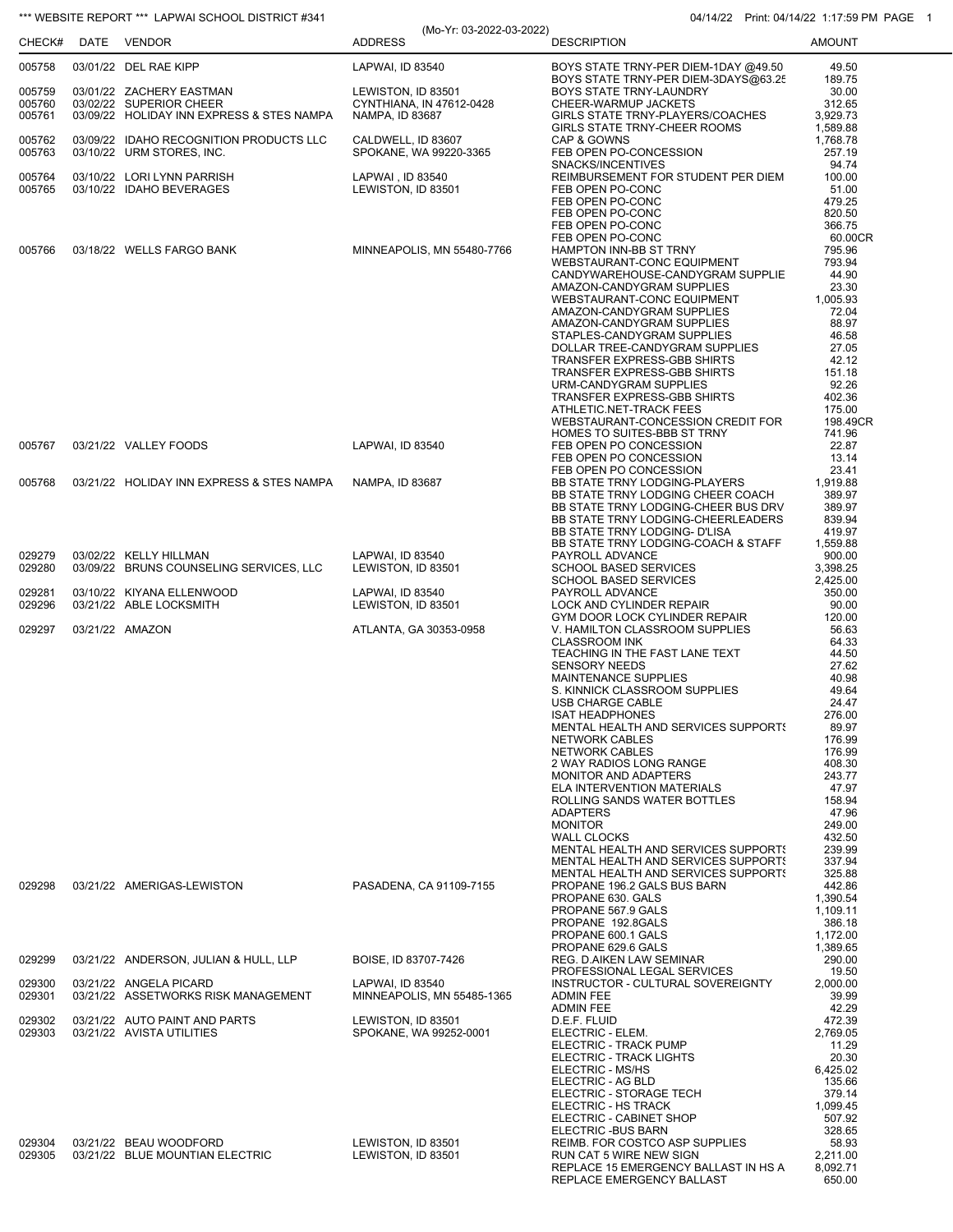## \*\*\* WEBSITE REPORT \*\*\* LAPWAI SCHOOL DISTRICT #341 04/14/22 Print: 04/14/22 1:17:59 PM PAGE 1

|                  |                                                                      | (Mo-Yr: 03-2022-03-2022)                       |                                                                                          | 1.111111.0771172211.11.0011111 |
|------------------|----------------------------------------------------------------------|------------------------------------------------|------------------------------------------------------------------------------------------|--------------------------------|
| CHECK#           | DATE VENDOR                                                          | <b>ADDRESS</b>                                 | <b>DESCRIPTION</b>                                                                       | <b>AMOUNT</b>                  |
| 005758           | 03/01/22 DEL RAE KIPP                                                | LAPWAI, ID 83540                               | BOYS STATE TRNY-PER DIEM-1DAY @49.50<br>BOYS STATE TRNY-PER DIEM-3DAYS@63.25             | 49.50<br>189.75                |
| 005759<br>005760 | 03/01/22 ZACHERY EASTMAN<br>03/02/22 SUPERIOR CHEER                  | LEWISTON, ID 83501<br>CYNTHIANA, IN 47612-0428 | BOYS STATE TRNY-LAUNDRY<br>CHEER-WARMUP JACKETS                                          | 30.00<br>312.65                |
| 005761           | 03/09/22 HOLIDAY INN EXPRESS & STES NAMPA                            | NAMPA, ID 83687                                | GIRLS STATE TRNY-PLAYERS/COACHES<br>GIRLS STATE TRNY-CHEER ROOMS                         | 3,929.73<br>1,589.88           |
| 005762<br>005763 | 03/09/22 IDAHO RECOGNITION PRODUCTS LLC<br>03/10/22 URM STORES, INC. | CALDWELL, ID 83607<br>SPOKANE, WA 99220-3365   | CAP & GOWNS<br>FEB OPEN PO-CONCESSION                                                    | 1,768.78<br>257.19             |
| 005764           | 03/10/22 LORI LYNN PARRISH                                           | LAPWAI, ID 83540                               | SNACKS/INCENTIVES<br>REIMBURSEMENT FOR STUDENT PER DIEM                                  | 94.74<br>100.00                |
| 005765           | 03/10/22 IDAHO BEVERAGES                                             | LEWISTON, ID 83501                             | FEB OPEN PO-CONC<br>FEB OPEN PO-CONC                                                     | 51.00<br>479.25                |
|                  |                                                                      |                                                | FEB OPEN PO-CONC<br>FEB OPEN PO-CONC                                                     | 820.50<br>366.75               |
|                  |                                                                      |                                                | FEB OPEN PO-CONC                                                                         | 60.00CR                        |
| 005766           | 03/18/22 WELLS FARGO BANK                                            | MINNEAPOLIS, MN 55480-7766                     | HAMPTON INN-BB ST TRNY<br>WEBSTAURANT-CONC EQUIPMENT                                     | 795.96<br>793.94               |
|                  |                                                                      |                                                | CANDYWAREHOUSE-CANDYGRAM SUPPLIE<br>AMAZON-CANDYGRAM SUPPLIES                            | 44.90<br>23.30                 |
|                  |                                                                      |                                                | WEBSTAURANT-CONC EQUIPMENT                                                               | 1,005.93                       |
|                  |                                                                      |                                                | AMAZON-CANDYGRAM SUPPLIES<br>AMAZON-CANDYGRAM SUPPLIES                                   | 72.04<br>88.97                 |
|                  |                                                                      |                                                | STAPLES-CANDYGRAM SUPPLIES<br>DOLLAR TREE-CANDYGRAM SUPPLIES                             | 46.58<br>27.05                 |
|                  |                                                                      |                                                | TRANSFER EXPRESS-GBB SHIRTS                                                              | 42.12                          |
|                  |                                                                      |                                                | TRANSFER EXPRESS-GBB SHIRTS<br>URM-CANDYGRAM SUPPLIES                                    | 151.18<br>92.26                |
|                  |                                                                      |                                                | TRANSFER EXPRESS-GBB SHIRTS<br>ATHLETIC.NET-TRACK FEES                                   | 402.36<br>175.00               |
|                  |                                                                      |                                                | WEBSTAURANT-CONCESSION CREDIT FOR                                                        | 198.49CR                       |
| 005767           | 03/21/22 VALLEY FOODS                                                | LAPWAI, ID 83540                               | HOMES TO SUITES-BBB ST TRNY<br>FEB OPEN PO CONCESSION                                    | 741.96<br>22.87                |
|                  |                                                                      |                                                | FEB OPEN PO CONCESSION<br>FEB OPEN PO CONCESSION                                         | 13.14<br>23.41                 |
| 005768           | 03/21/22 HOLIDAY INN EXPRESS & STES NAMPA                            | NAMPA, ID 83687                                | BB STATE TRNY LODGING-PLAYERS                                                            | 1,919.88                       |
|                  |                                                                      |                                                | BB STATE TRNY LODGING CHEER COACH<br>BB STATE TRNY LODGING-CHEER BUS DRV                 | 389.97<br>389.97               |
|                  |                                                                      |                                                | BB STATE TRNY LODGING-CHEERLEADERS<br>BB STATE TRNY LODGING- D'LISA                      | 839.94<br>419.97               |
| 029279           | 03/02/22 KELLY HILLMAN                                               | LAPWAI, ID 83540                               | BB STATE TRNY LODGING-COACH & STAFF                                                      | 1,559.88<br>900.00             |
| 029280           | 03/09/22 BRUNS COUNSELING SERVICES, LLC                              | LEWISTON, ID 83501                             | PAYROLL ADVANCE<br><b>SCHOOL BASED SERVICES</b>                                          | 3,398.25                       |
| 029281           | 03/10/22 KIYANA ELLENWOOD                                            | LAPWAI, ID 83540                               | <b>SCHOOL BASED SERVICES</b><br>PAYROLL ADVANCE                                          | 2,425.00<br>350.00             |
| 029296           | 03/21/22 ABLE LOCKSMITH                                              | LEWISTON, ID 83501                             | LOCK AND CYLINDER REPAIR<br>GYM DOOR LOCK CYLINDER REPAIR                                | 90.00<br>120.00                |
| 029297           | 03/21/22 AMAZON                                                      | ATLANTA, GA 30353-0958                         | V. HAMILTON CLASSROOM SUPPLIES                                                           | 56.63                          |
|                  |                                                                      |                                                | <b>CLASSROOM INK</b><br>TEACHING IN THE FAST LANE TEXT                                   | 64.33<br>44.50                 |
|                  |                                                                      |                                                | <b>SENSORY NEEDS</b><br><b>MAINTENANCE SUPPLIES</b>                                      | 27.62<br>40.98                 |
|                  |                                                                      |                                                | S. KINNICK CLASSROOM SUPPLIES                                                            | 49.64                          |
|                  |                                                                      |                                                | USB CHARGE CABLE<br><b>ISAT HEADPHONES</b>                                               | 24.47<br>276.00                |
|                  |                                                                      |                                                | <b>MENTAL HEALTH AND SERVICES SUPPORTS</b><br><b>NETWORK CABLES</b>                      | 89.97<br>176.99                |
|                  |                                                                      |                                                | <b>NETWORK CABLES</b><br>2 WAY RADIOS LONG RANGE                                         | 176.99<br>408.30               |
|                  |                                                                      |                                                | MONITOR AND ADAPTERS                                                                     | 243.77                         |
|                  |                                                                      |                                                | <b>ELA INTERVENTION MATERIALS</b><br>ROLLING SANDS WATER BOTTLES                         | 47.97<br>158.94                |
|                  |                                                                      |                                                | <b>ADAPTERS</b><br><b>MONITOR</b>                                                        | 47.96<br>249.00                |
|                  |                                                                      |                                                | <b>WALL CLOCKS</b>                                                                       | 432.50                         |
|                  |                                                                      |                                                | <b>MENTAL HEALTH AND SERVICES SUPPORTS</b><br><b>MENTAL HEALTH AND SERVICES SUPPORTS</b> | 239.99<br>337.94               |
| 029298           | 03/21/22 AMERIGAS-LEWISTON                                           | PASADENA, CA 91109-7155                        | <b>MENTAL HEALTH AND SERVICES SUPPORTS</b><br>PROPANE 196.2 GALS BUS BARN                | 325.88<br>442.86               |
|                  |                                                                      |                                                | PROPANE 630, GALS<br>PROPANE 567.9 GALS                                                  | 1,390.54<br>1,109.11           |
|                  |                                                                      |                                                | PROPANE 192.8GALS                                                                        | 386.18                         |
|                  |                                                                      |                                                | PROPANE 600.1 GALS<br>PROPANE 629.6 GALS                                                 | 1,172.00<br>1,389.65           |
| 029299           | 03/21/22 ANDERSON, JULIAN & HULL, LLP                                | BOISE, ID 83707-7426                           | REG. D.AIKEN LAW SEMINAR<br>PROFESSIONAL LEGAL SERVICES                                  | 290.00<br>19.50                |
| 029300           | 03/21/22 ANGELA PICARD                                               | LAPWAI, ID 83540                               | INSTRUCTOR - CULTURAL SOVEREIGNTY                                                        | 2,000.00                       |
| 029301           | 03/21/22 ASSETWORKS RISK MANAGEMENT                                  | MINNEAPOLIS, MN 55485-1365                     | <b>ADMIN FEE</b><br><b>ADMIN FEE</b>                                                     | 39.99<br>42.29                 |
| 029302<br>029303 | 03/21/22 AUTO PAINT AND PARTS<br>03/21/22 AVISTA UTILITIES           | LEWISTON, ID 83501<br>SPOKANE, WA 99252-0001   | D.E.F. FLUID<br>ELECTRIC - ELEM.                                                         | 472.39<br>2,769.05             |
|                  |                                                                      |                                                | ELECTRIC - TRACK PUMP<br>ELECTRIC - TRACK LIGHTS                                         | 11.29<br>20.30                 |
|                  |                                                                      |                                                | ELECTRIC - MS/HS                                                                         | 6,425.02                       |
|                  |                                                                      |                                                | ELECTRIC - AG BLD<br>ELECTRIC - STORAGE TECH                                             | 135.66<br>379.14               |
|                  |                                                                      |                                                | ELECTRIC - HS TRACK<br>ELECTRIC - CABINET SHOP                                           | 1,099.45<br>507.92             |
|                  |                                                                      |                                                | ELECTRIC - BUS BARN                                                                      | 328.65                         |
| 029304<br>029305 | 03/21/22 BEAU WOODFORD<br>03/21/22 BLUE MOUNTIAN ELECTRIC            | LEWISTON, ID 83501<br>LEWISTON, ID 83501       | REIMB. FOR COSTCO ASP SUPPLIES<br>RUN CAT 5 WIRE NEW SIGN                                | 58.93<br>2,211.00              |
|                  |                                                                      |                                                | REPLACE 15 EMERGENCY BALLAST IN HS A<br>REPLACE EMERGENCY BALLAST                        | 8,092.71<br>650.00             |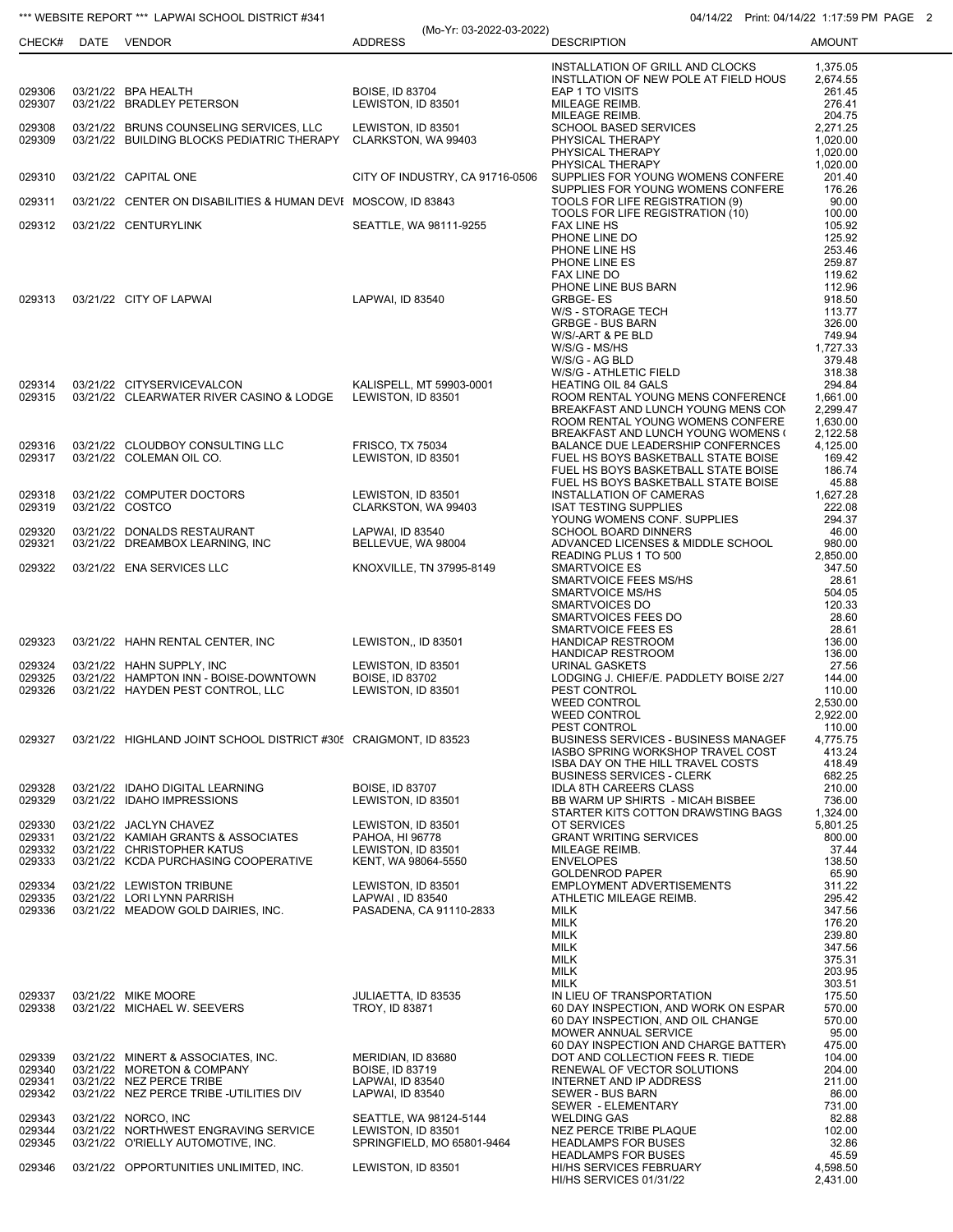## \*\*\* WEBSITE REPORT \*\*\* LAPWAI SCHOOL DISTRICT #341 04/14/22 Print: 04/14/22 Print: 04/14/22 1:17:59 PM PAGE 2

|                  |                                                                    | (Mo-Yr: 03-2022-03-2022)                      |                                                                                  |                      |
|------------------|--------------------------------------------------------------------|-----------------------------------------------|----------------------------------------------------------------------------------|----------------------|
|                  | CHECK# DATE VENDOR                                                 | <b>ADDRESS</b>                                | <b>DESCRIPTION</b>                                                               | <b>AMOUNT</b>        |
|                  |                                                                    |                                               | INSTALLATION OF GRILL AND CLOCKS                                                 | 1.375.05             |
| 029306           | 03/21/22 BPA HEALTH                                                | <b>BOISE, ID 83704</b>                        | INSTLLATION OF NEW POLE AT FIELD HOUS<br>EAP 1 TO VISITS                         | 2,674.55<br>261.45   |
| 029307           | 03/21/22 BRADLEY PETERSON                                          | LEWISTON, ID 83501                            | MILEAGE REIMB.                                                                   | 276.41               |
| 029308           | 03/21/22 BRUNS COUNSELING SERVICES, LLC                            | LEWISTON, ID 83501                            | MILEAGE REIMB.<br>SCHOOL BASED SERVICES                                          | 204.75<br>2,271.25   |
| 029309           | 03/21/22 BUILDING BLOCKS PEDIATRIC THERAPY CLARKSTON, WA 99403     |                                               | PHYSICAL THERAPY                                                                 | 1,020.00             |
|                  |                                                                    |                                               | PHYSICAL THERAPY<br>PHYSICAL THERAPY                                             | 1,020.00<br>1,020.00 |
| 029310           | 03/21/22 CAPITAL ONE                                               | CITY OF INDUSTRY, CA 91716-0506               | SUPPLIES FOR YOUNG WOMENS CONFERE                                                | 201.40               |
| 029311           | 03/21/22 CENTER ON DISABILITIES & HUMAN DEVE MOSCOW, ID 83843      |                                               | SUPPLIES FOR YOUNG WOMENS CONFERE<br>TOOLS FOR LIFE REGISTRATION (9)             | 176.26<br>90.00      |
|                  |                                                                    |                                               | TOOLS FOR LIFE REGISTRATION (10)                                                 | 100.00               |
| 029312           | 03/21/22 CENTURYLINK                                               | SEATTLE, WA 98111-9255                        | <b>FAX LINE HS</b><br>PHONE LINE DO                                              | 105.92<br>125.92     |
|                  |                                                                    |                                               | PHONE LINE HS                                                                    | 253.46               |
|                  |                                                                    |                                               | PHONE LINE ES<br>FAX LINE DO                                                     | 259.87<br>119.62     |
|                  |                                                                    |                                               | PHONE LINE BUS BARN                                                              | 112.96               |
| 029313           | 03/21/22 CITY OF LAPWAI                                            | LAPWAI, ID 83540                              | GRBGE-ES<br>W/S - STORAGE TECH                                                   | 918.50<br>113.77     |
|                  |                                                                    |                                               | <b>GRBGE - BUS BARN</b>                                                          | 326.00               |
|                  |                                                                    |                                               | W/S/-ART & PE BLD<br>W/S/G - MS/HS                                               | 749.94<br>1,727.33   |
|                  |                                                                    |                                               | W/S/G - AG BLD                                                                   | 379.48               |
| 029314           | 03/21/22 CITYSERVICEVALCON                                         | KALISPELL, MT 59903-0001                      | W/S/G - ATHLETIC FIELD<br>HEATING OIL 84 GALS                                    | 318.38<br>294.84     |
| 029315           | 03/21/22 CLEARWATER RIVER CASINO & LODGE                           | LEWISTON, ID 83501                            | ROOM RENTAL YOUNG MENS CONFERENCI                                                | 1,661.00             |
|                  |                                                                    |                                               | BREAKFAST AND LUNCH YOUNG MENS CON<br>ROOM RENTAL YOUNG WOMENS CONFERE           | 2,299.47<br>1,630.00 |
|                  |                                                                    |                                               | BREAKFAST AND LUNCH YOUNG WOMENS (                                               | 2,122.58             |
| 029316<br>029317 | 03/21/22 CLOUDBOY CONSULTING LLC<br>03/21/22 COLEMAN OIL CO.       | <b>FRISCO, TX 75034</b><br>LEWISTON, ID 83501 | BALANCE DUE LEADERSHIP CONFERNCES<br>FUEL HS BOYS BASKETBALL STATE BOISE         | 4,125.00<br>169.42   |
|                  |                                                                    |                                               | FUEL HS BOYS BASKETBALL STATE BOISE                                              | 186.74               |
| 029318           | 03/21/22 COMPUTER DOCTORS                                          | LEWISTON, ID 83501                            | FUEL HS BOYS BASKETBALL STATE BOISE<br>INSTALLATION OF CAMERAS                   | 45.88<br>1,627.28    |
| 029319           | 03/21/22 COSTCO                                                    | CLARKSTON, WA 99403                           | <b>ISAT TESTING SUPPLIES</b>                                                     | 222.08               |
| 029320           | 03/21/22 DONALDS RESTAURANT                                        | LAPWAI, ID 83540                              | YOUNG WOMENS CONF. SUPPLIES<br><b>SCHOOL BOARD DINNERS</b>                       | 294.37<br>46.00      |
| 029321           | 03/21/22 DREAMBOX LEARNING, INC                                    | BELLEVUE, WA 98004                            | ADVANCED LICENSES & MIDDLE SCHOOL                                                | 980.00               |
| 029322           | 03/21/22 ENA SERVICES LLC                                          | KNOXVILLE, TN 37995-8149                      | READING PLUS 1 TO 500<br><b>SMARTVOICE ES</b>                                    | 2,850.00<br>347.50   |
|                  |                                                                    |                                               | SMARTVOICE FEES MS/HS                                                            | 28.61                |
|                  |                                                                    |                                               | SMARTVOICE MS/HS<br>SMARTVOICES DO                                               | 504.05<br>120.33     |
|                  |                                                                    |                                               | SMARTVOICES FEES DO                                                              | 28.60                |
| 029323           | 03/21/22 HAHN RENTAL CENTER, INC                                   | LEWISTON,, ID 83501                           | SMARTVOICE FEES ES<br><b>HANDICAP RESTROOM</b>                                   | 28.61<br>136.00      |
|                  |                                                                    |                                               | HANDICAP RESTROOM                                                                | 136.00               |
| 029324<br>029325 | 03/21/22 HAHN SUPPLY, INC<br>03/21/22 HAMPTON INN - BOISE-DOWNTOWN | LEWISTON, ID 83501<br>BOISE, ID 83702         | <b>URINAL GASKETS</b><br>LODGING J. CHIEF/E. PADDLETY BOISE 2/27                 | 27.56<br>144.00      |
| 029326           | 03/21/22 HAYDEN PEST CONTROL, LLC                                  | LEWISTON, ID 83501                            | PEST CONTROL                                                                     | 110.00               |
|                  |                                                                    |                                               | <b>WEED CONTROL</b><br><b>WEED CONTROL</b>                                       | 2.530.00<br>2,922.00 |
|                  |                                                                    |                                               | PEST CONTROL                                                                     | 110.00               |
| 029327           | 03/21/22 HIGHLAND JOINT SCHOOL DISTRICT #305 CRAIGMONT, ID 83523   |                                               | <b>BUSINESS SERVICES - BUSINESS MANAGEF</b><br>IASBO SPRING WORKSHOP TRAVEL COST | 4,775.75<br>413.24   |
|                  |                                                                    |                                               | <b>ISBA DAY ON THE HILL TRAVEL COSTS</b>                                         | 418.49               |
| 029328           | 03/21/22 IDAHO DIGITAL LEARNING                                    | <b>BOISE, ID 83707</b>                        | <b>BUSINESS SERVICES - CLERK</b><br><b>IDLA 8TH CAREERS CLASS</b>                | 682.25<br>210.00     |
| 029329           | 03/21/22 IDAHO IMPRESSIONS                                         | LEWISTON, ID 83501                            | BB WARM UP SHIRTS - MICAH BISBEE                                                 | 736.00               |
| 029330           | 03/21/22 JACLYN CHAVEZ                                             | LEWISTON, ID 83501                            | STARTER KITS COTTON DRAWSTING BAGS<br>OT SERVICES                                | 1,324.00<br>5,801.25 |
| 029331           | 03/21/22 KAMIAH GRANTS & ASSOCIATES                                | PAHOA, HI 96778                               | <b>GRANT WRITING SERVICES</b>                                                    | 800.00               |
| 029332<br>029333 | 03/21/22 CHRISTOPHER KATUS<br>03/21/22 KCDA PURCHASING COOPERATIVE | LEWISTON, ID 83501<br>KENT, WA 98064-5550     | MILEAGE REIMB.<br><b>ENVELOPES</b>                                               | 37.44<br>138.50      |
|                  |                                                                    |                                               | <b>GOLDENROD PAPER</b>                                                           | 65.90                |
| 029334<br>029335 | 03/21/22 LEWISTON TRIBUNE<br>03/21/22 LORI LYNN PARRISH            | LEWISTON, ID 83501<br>LAPWAI, ID 83540        | EMPLOYMENT ADVERTISEMENTS<br>ATHLETIC MILEAGE REIMB.                             | 311.22<br>295.42     |
| 029336           | 03/21/22 MEADOW GOLD DAIRIES, INC.                                 | PASADENA, CA 91110-2833                       | MILK                                                                             | 347.56               |
|                  |                                                                    |                                               | <b>MILK</b><br><b>MILK</b>                                                       | 176.20<br>239.80     |
|                  |                                                                    |                                               | MILK                                                                             | 347.56               |
|                  |                                                                    |                                               | <b>MILK</b><br><b>MILK</b>                                                       | 375.31<br>203.95     |
|                  |                                                                    |                                               | <b>MILK</b>                                                                      | 303.51               |
| 029337<br>029338 | 03/21/22 MIKE MOORE<br>03/21/22 MICHAEL W. SEEVERS                 | JULIAETTA, ID 83535<br>TROY, ID 83871         | IN LIEU OF TRANSPORTATION<br>60 DAY INSPECTION, AND WORK ON ESPAR                | 175.50<br>570.00     |
|                  |                                                                    |                                               | 60 DAY INSPECTION, AND OIL CHANGE                                                | 570.00               |
|                  |                                                                    |                                               | MOWER ANNUAL SERVICE<br>60 DAY INSPECTION AND CHARGE BATTERY                     | 95.00<br>475.00      |
| 029339           | 03/21/22 MINERT & ASSOCIATES, INC.                                 | MERIDIAN, ID 83680                            | DOT AND COLLECTION FEES R. TIEDE                                                 | 104.00               |
| 029340<br>029341 | 03/21/22 MORETON & COMPANY<br>03/21/22 NEZ PERCE TRIBE             | <b>BOISE, ID 83719</b><br>LAPWAI, ID 83540    | RENEWAL OF VECTOR SOLUTIONS<br>INTERNET AND IP ADDRESS                           | 204.00<br>211.00     |
| 029342           | 03/21/22 NEZ PERCE TRIBE -UTILITIES DIV                            | LAPWAI, ID 83540                              | SEWER - BUS BARN                                                                 | 86.00                |
|                  |                                                                    |                                               | SEWER - ELEMENTARY                                                               | 731.00               |
| 029343<br>029344 | 03/21/22 NORCO, INC<br>03/21/22 NORTHWEST ENGRAVING SERVICE        | SEATTLE, WA 98124-5144<br>LEWISTON, ID 83501  | <b>WELDING GAS</b><br>NEZ PERCE TRIBE PLAQUE                                     | 82.88<br>102.00      |
| 029345           | 03/21/22 O'RIELLY AUTOMOTIVE, INC.                                 | SPRINGFIELD, MO 65801-9464                    | <b>HEADLAMPS FOR BUSES</b>                                                       | 32.86<br>45.59       |
| 029346           | 03/21/22 OPPORTUNITIES UNLIMITED, INC.                             | LEWISTON, ID 83501                            | <b>HEADLAMPS FOR BUSES</b><br>HI/HS SERVICES FEBRUARY                            | 4,598.50             |
|                  |                                                                    |                                               | HI/HS SERVICES 01/31/22                                                          | 2,431.00             |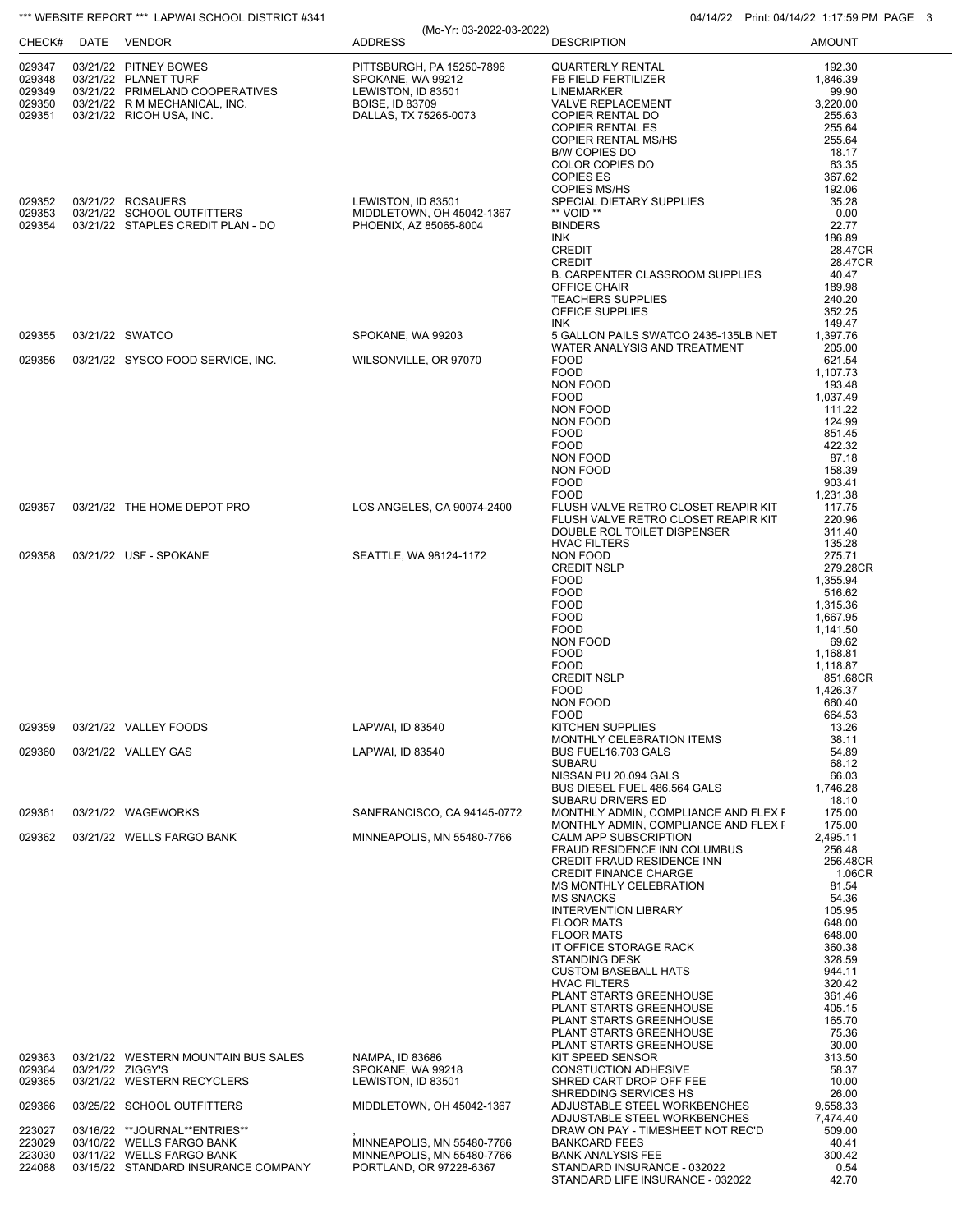| CHECK#           | <b>THE WEBSITE REPORT THE LAPWAI SCHOOL DISTRICT #341</b><br>DATE VENDOR | (Mo-Yr: 03-2022-03-2022)<br><b>ADDRESS</b>               | 04/14/22 Print: 04/14/22 1:17:59 PM PA<br><b>DESCRIPTION</b>               | <b>AMOUNT</b>        |
|------------------|--------------------------------------------------------------------------|----------------------------------------------------------|----------------------------------------------------------------------------|----------------------|
| 029347           | 03/21/22 PITNEY BOWES                                                    | PITTSBURGH, PA 15250-7896                                | <b>QUARTERLY RENTAL</b>                                                    | 192.30               |
| 029348           | 03/21/22 PLANET TURF                                                     | SPOKANE, WA 99212                                        | FB FIELD FERTILIZER                                                        | 1,846.39             |
| 029349           | 03/21/22 PRIMELAND COOPERATIVES                                          | LEWISTON, ID 83501                                       | <b>LINEMARKER</b>                                                          | 99.90                |
| 029350<br>029351 | 03/21/22 R M MECHANICAL, INC.<br>03/21/22 RICOH USA, INC.                | <b>BOISE, ID 83709</b><br>DALLAS, TX 75265-0073          | <b>VALVE REPLACEMENT</b><br>COPIER RENTAL DO                               | 3.220.00<br>255.63   |
|                  |                                                                          |                                                          | <b>COPIER RENTAL ES</b>                                                    | 255.64               |
|                  |                                                                          |                                                          | <b>COPIER RENTAL MS/HS</b>                                                 | 255.64               |
|                  |                                                                          |                                                          | <b>B/W COPIES DO</b>                                                       | 18.17                |
|                  |                                                                          |                                                          | COLOR COPIES DO                                                            | 63.35                |
|                  |                                                                          |                                                          | <b>COPIES ES</b><br><b>COPIES MS/HS</b>                                    | 367.62<br>192.06     |
| 029352           | 03/21/22 ROSAUERS                                                        | LEWISTON, ID 83501                                       | SPECIAL DIETARY SUPPLIES                                                   | 35.28                |
| 029353           | 03/21/22 SCHOOL OUTFITTERS                                               | MIDDLETOWN, OH 45042-1367                                | ** VOID **                                                                 | 0.00                 |
| 029354           | 03/21/22 STAPLES CREDIT PLAN - DO                                        | PHOENIX, AZ 85065-8004                                   | <b>BINDERS</b>                                                             | 22.77                |
|                  |                                                                          |                                                          | INK<br><b>CREDIT</b>                                                       | 186.89<br>28.47CR    |
|                  |                                                                          |                                                          | <b>CREDIT</b>                                                              | 28.47CR              |
|                  |                                                                          |                                                          | <b>B. CARPENTER CLASSROOM SUPPLIES</b>                                     | 40.47                |
|                  |                                                                          |                                                          | OFFICE CHAIR                                                               | 189.98               |
|                  |                                                                          |                                                          | <b>TEACHERS SUPPLIES</b><br>OFFICE SUPPLIES                                | 240.20<br>352.25     |
|                  |                                                                          |                                                          | <b>INK</b>                                                                 | 149.47               |
| 029355           | 03/21/22 SWATCO                                                          | SPOKANE, WA 99203                                        | 5 GALLON PAILS SWATCO 2435-135LB NET                                       | 1.397.76             |
|                  |                                                                          |                                                          | WATER ANALYSIS AND TREATMENT                                               | 205.00               |
| 029356           | 03/21/22 SYSCO FOOD SERVICE, INC.                                        | WILSONVILLE, OR 97070                                    | <b>FOOD</b>                                                                | 621.54               |
|                  |                                                                          |                                                          | <b>FOOD</b><br>NON FOOD                                                    | 1,107.73<br>193.48   |
|                  |                                                                          |                                                          | <b>FOOD</b>                                                                | 1.037.49             |
|                  |                                                                          |                                                          | NON FOOD                                                                   | 111.22               |
|                  |                                                                          |                                                          | NON FOOD                                                                   | 124.99               |
|                  |                                                                          |                                                          | <b>FOOD</b><br><b>FOOD</b>                                                 | 851.45<br>422.32     |
|                  |                                                                          |                                                          | NON FOOD                                                                   | 87.18                |
|                  |                                                                          |                                                          | NON FOOD                                                                   | 158.39               |
|                  |                                                                          |                                                          | <b>FOOD</b>                                                                | 903.41               |
|                  |                                                                          |                                                          | <b>FOOD</b>                                                                | 1,231.38             |
| 029357           | 03/21/22 THE HOME DEPOT PRO                                              | LOS ANGELES, CA 90074-2400                               | FLUSH VALVE RETRO CLOSET REAPIR KIT<br>FLUSH VALVE RETRO CLOSET REAPIR KIT | 117.75<br>220.96     |
|                  |                                                                          |                                                          | DOUBLE ROL TOILET DISPENSER                                                | 311.40               |
|                  |                                                                          |                                                          | <b>HVAC FILTERS</b>                                                        | 135.28               |
| 029358           | 03/21/22 USF - SPOKANE                                                   | SEATTLE, WA 98124-1172                                   | NON FOOD                                                                   | 275.71               |
|                  |                                                                          |                                                          | <b>CREDIT NSLP</b><br><b>FOOD</b>                                          | 279.28CR<br>1,355.94 |
|                  |                                                                          |                                                          | <b>FOOD</b>                                                                | 516.62               |
|                  |                                                                          |                                                          | <b>FOOD</b>                                                                | 1,315.36             |
|                  |                                                                          |                                                          | <b>FOOD</b>                                                                | 1,667.95             |
|                  |                                                                          |                                                          | <b>FOOD</b><br>NON FOOD                                                    | 1,141.50<br>69.62    |
|                  |                                                                          |                                                          | <b>FOOD</b>                                                                | 1,168.81             |
|                  |                                                                          |                                                          | <b>FOOD</b>                                                                | 1,118.87             |
|                  |                                                                          |                                                          | <b>CREDIT NSLP</b>                                                         | 851.68CR             |
|                  |                                                                          |                                                          | <b>FOOD</b>                                                                | 1.426.37             |
|                  |                                                                          |                                                          | NON FOOD<br><b>FOOD</b>                                                    | 660.40<br>664.53     |
| 029359           | 03/21/22 VALLEY FOODS                                                    | LAPWAI, ID 83540                                         | KITCHEN SUPPLIES                                                           | 13.26                |
|                  |                                                                          |                                                          | MONTHLY CELEBRATION ITEMS                                                  | 38.11                |
| 029360           | 03/21/22 VALLEY GAS                                                      | LAPWAI, ID 83540                                         | BUS FUEL16.703 GALS                                                        | 54.89                |
|                  |                                                                          |                                                          | <b>SUBARU</b><br>NISSAN PU 20.094 GALS                                     | 68.12<br>66.03       |
|                  |                                                                          |                                                          | BUS DIESEL FUEL 486.564 GALS                                               | 1,746.28             |
|                  |                                                                          |                                                          | SUBARU DRIVERS ED                                                          | 18.10                |
| 029361           | 03/21/22 WAGEWORKS                                                       | SANFRANCISCO, CA 94145-0772                              | MONTHLY ADMIN, COMPLIANCE AND FLEX F                                       | 175.00               |
| 029362           | 03/21/22 WELLS FARGO BANK                                                | MINNEAPOLIS, MN 55480-7766                               | MONTHLY ADMIN, COMPLIANCE AND FLEX F<br>CALM APP SUBSCRIPTION              | 175.00<br>2,495.11   |
|                  |                                                                          |                                                          | FRAUD RESIDENCE INN COLUMBUS                                               | 256.48               |
|                  |                                                                          |                                                          | CREDIT FRAUD RESIDENCE INN                                                 | 256.48CR             |
|                  |                                                                          |                                                          | <b>CREDIT FINANCE CHARGE</b>                                               | 1.06CR               |
|                  |                                                                          |                                                          | <b>MS MONTHLY CELEBRATION</b><br><b>MS SNACKS</b>                          | 81.54<br>54.36       |
|                  |                                                                          |                                                          | <b>INTERVENTION LIBRARY</b>                                                | 105.95               |
|                  |                                                                          |                                                          | <b>FLOOR MATS</b>                                                          | 648.00               |
|                  |                                                                          |                                                          | <b>FLOOR MATS</b>                                                          | 648.00               |
|                  |                                                                          |                                                          | IT OFFICE STORAGE RACK                                                     | 360.38               |
|                  |                                                                          |                                                          | <b>STANDING DESK</b><br><b>CUSTOM BASEBALL HATS</b>                        | 328.59<br>944.11     |
|                  |                                                                          |                                                          | <b>HVAC FILTERS</b>                                                        | 320.42               |
|                  |                                                                          |                                                          | PLANT STARTS GREENHOUSE                                                    | 361.46               |
|                  |                                                                          |                                                          | PLANT STARTS GREENHOUSE                                                    | 405.15               |
|                  |                                                                          |                                                          | PLANT STARTS GREENHOUSE<br>PLANT STARTS GREENHOUSE                         | 165.70<br>75.36      |
|                  |                                                                          |                                                          | PLANT STARTS GREENHOUSE                                                    | 30.00                |
| 029363           | 03/21/22 WESTERN MOUNTAIN BUS SALES                                      | NAMPA, ID 83686                                          | KIT SPEED SENSOR                                                           | 313.50               |
| 029364           | 03/21/22 ZIGGY'S                                                         | SPOKANE, WA 99218                                        | <b>CONSTUCTION ADHESIVE</b>                                                | 58.37                |
| 029365           | 03/21/22 WESTERN RECYCLERS                                               | LEWISTON, ID 83501                                       | SHRED CART DROP OFF FEE<br>SHREDDING SERVICES HS                           | 10.00<br>26.00       |
| 029366           | 03/25/22 SCHOOL OUTFITTERS                                               | MIDDLETOWN, OH 45042-1367                                | ADJUSTABLE STEEL WORKBENCHES                                               | 9,558.33             |
|                  |                                                                          |                                                          | ADJUSTABLE STEEL WORKBENCHES                                               | 7,474.40             |
| 223027           | 03/16/22 **JOURNAL**ENTRIES**                                            |                                                          | DRAW ON PAY - TIMESHEET NOT REC'D                                          | 509.00               |
| 223029<br>223030 | 03/10/22 WELLS FARGO BANK<br>03/11/22 WELLS FARGO BANK                   | MINNEAPOLIS, MN 55480-7766<br>MINNEAPOLIS, MN 55480-7766 | <b>BANKCARD FEES</b><br><b>BANK ANALYSIS FEE</b>                           | 40.41<br>300.42      |
| 224088           | 03/15/22 STANDARD INSURANCE COMPANY                                      | PORTLAND, OR 97228-6367                                  | STANDARD INSURANCE - 032022                                                | 0.54                 |
|                  |                                                                          |                                                          | STANDARD LIFE INSURANCE - 032022                                           | 42.70                |

\*\*\* WEBSITE REPORT \*\*\* LAPWAI SCHOOL DISTRICT #341 04/14/22 Print: 04/14/22 Print: 04/14/22 1:17:59 PM PAGE 3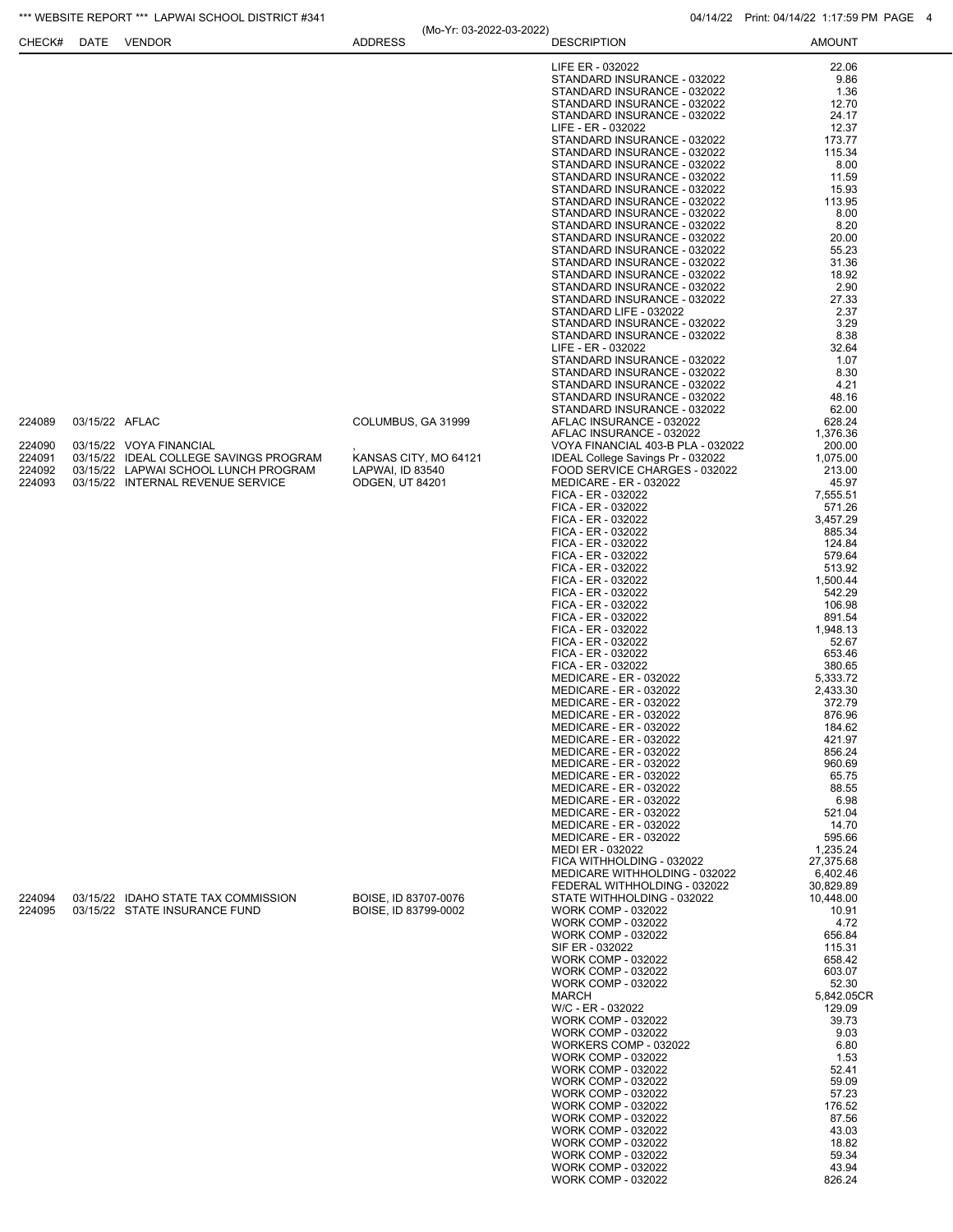| CHECK#                     | DATE           | <b>VENDOR</b>                                                             | (IVIO- 11. U3-ZUZZ-U3-ZUZZ)<br><b>ADDRESS</b> | <b>DESCRIPTION</b>                                                                                                                                                                                                                                                                                                                                                                                                                                                                                                                                                                                                                                                                                                                                                                                                                                                                                                                                      | <b>AMOUNT</b>                                                                                                                                                                                                                                                                                                                                                             |
|----------------------------|----------------|---------------------------------------------------------------------------|-----------------------------------------------|---------------------------------------------------------------------------------------------------------------------------------------------------------------------------------------------------------------------------------------------------------------------------------------------------------------------------------------------------------------------------------------------------------------------------------------------------------------------------------------------------------------------------------------------------------------------------------------------------------------------------------------------------------------------------------------------------------------------------------------------------------------------------------------------------------------------------------------------------------------------------------------------------------------------------------------------------------|---------------------------------------------------------------------------------------------------------------------------------------------------------------------------------------------------------------------------------------------------------------------------------------------------------------------------------------------------------------------------|
|                            |                |                                                                           |                                               | LIFE ER - 032022<br>STANDARD INSURANCE - 032022<br>STANDARD INSURANCE - 032022<br>STANDARD INSURANCE - 032022<br>STANDARD INSURANCE - 032022<br>LIFE - ER - 032022<br>STANDARD INSURANCE - 032022<br>STANDARD INSURANCE - 032022<br>STANDARD INSURANCE - 032022<br>STANDARD INSURANCE - 032022<br>STANDARD INSURANCE - 032022<br>STANDARD INSURANCE - 032022<br>STANDARD INSURANCE - 032022<br>STANDARD INSURANCE - 032022<br>STANDARD INSURANCE - 032022<br>STANDARD INSURANCE - 032022                                                                                                                                                                                                                                                                                                                                                                                                                                                                | 22.06<br>9.86<br>1.36<br>12.70<br>24.17<br>12.37<br>173.77<br>115.34<br>8.00<br>11.59<br>15.93<br>113.95<br>8.00<br>8.20<br>20.00<br>55.23                                                                                                                                                                                                                                |
| 224089<br>224090<br>224091 | 03/15/22 AFLAC | 03/15/22 VOYA FINANCIAL<br>03/15/22 IDEAL COLLEGE SAVINGS PROGRAM         | COLUMBUS, GA 31999<br>KANSAS CITY, MO 64121   | STANDARD INSURANCE - 032022<br>STANDARD INSURANCE - 032022<br>STANDARD INSURANCE - 032022<br>STANDARD INSURANCE - 032022<br>STANDARD LIFE - 032022<br>STANDARD INSURANCE - 032022<br>STANDARD INSURANCE - 032022<br>LIFE - ER - 032022<br>STANDARD INSURANCE - 032022<br>STANDARD INSURANCE - 032022<br>STANDARD INSURANCE - 032022<br>STANDARD INSURANCE - 032022<br>STANDARD INSURANCE - 032022<br>AFLAC INSURANCE - 032022<br>AFLAC INSURANCE - 032022<br>VOYA FINANCIAL 403-B PLA - 032022<br>IDEAL College Savings Pr - 032022                                                                                                                                                                                                                                                                                                                                                                                                                     | 31.36<br>18.92<br>2.90<br>27.33<br>2.37<br>3.29<br>8.38<br>32.64<br>1.07<br>8.30<br>4.21<br>48.16<br>62.00<br>628.24<br>1,376.36<br>200.00<br>1,075.00                                                                                                                                                                                                                    |
| 224092<br>224093           |                | 03/15/22 LAPWAI SCHOOL LUNCH PROGRAM<br>03/15/22 INTERNAL REVENUE SERVICE | LAPWAI, ID 83540<br><b>ODGEN, UT 84201</b>    | FOOD SERVICE CHARGES - 032022<br>MEDICARE - ER - 032022<br>FICA - ER - 032022<br>FICA - ER - 032022<br>FICA - ER - 032022<br>FICA - ER - 032022<br>FICA - ER - 032022<br>FICA - ER - 032022<br>FICA - ER - 032022<br>FICA - ER - 032022<br>FICA - ER - 032022<br>FICA - ER - 032022<br>FICA - ER - 032022<br>FICA - ER - 032022<br>FICA - ER - 032022<br>FICA - ER - 032022<br>FICA - ER - 032022<br>MEDICARE - ER - 032022<br><b>MEDICARE - ER - 032022</b><br>MEDICARE - ER - 032022<br><b>MEDICARE - ER - 032022</b><br>MEDICARE - ER - 032022<br>MEDICARE - ER - 032022<br><b>MEDICARE - ER - 032022</b><br><b>MEDICARE - ER - 032022</b><br><b>MEDICARE - ER - 032022</b><br>MEDICARE - ER - 032022<br><b>MEDICARE - ER - 032022</b><br><b>MEDICARE - ER - 032022</b><br><b>MEDICARE - ER - 032022</b><br>MEDICARE - ER - 032022<br>MEDI ER - 032022<br>FICA WITHHOLDING - 032022<br>MEDICARE WITHHOLDING - 032022<br>FEDERAL WITHHOLDING - 032022 | 213.00<br>45.97<br>7,555.51<br>571.26<br>3,457.29<br>885.34<br>124.84<br>579.64<br>513.92<br>1,500.44<br>542.29<br>106.98<br>891.54<br>1,948.13<br>52.67<br>653.46<br>380.65<br>5,333.72<br>2,433.30<br>372.79<br>876.96<br>184.62<br>421.97<br>856.24<br>960.69<br>65.75<br>88.55<br>6.98<br>521.04<br>14.70<br>595.66<br>1,235.24<br>27,375.68<br>6,402.46<br>30,829.89 |
| 224094<br>224095           |                | 03/15/22 IDAHO STATE TAX COMMISSION<br>03/15/22 STATE INSURANCE FUND      | BOISE. ID 83707-0076<br>BOISE, ID 83799-0002  | STATE WITHHOLDING - 032022<br><b>WORK COMP - 032022</b><br><b>WORK COMP - 032022</b><br><b>WORK COMP - 032022</b><br>SIF ER - 032022<br><b>WORK COMP - 032022</b><br><b>WORK COMP - 032022</b><br>WORK COMP - 032022<br>MARCH<br>W/C - ER - 032022<br>WORK COMP - 032022<br>WORK COMP - 032022<br>WORKERS COMP - 032022<br>WORK COMP - 032022<br>WORK COMP - 032022<br><b>WORK COMP - 032022</b><br><b>WORK COMP - 032022</b><br>WORK COMP - 032022<br><b>WORK COMP - 032022</b><br><b>WORK COMP - 032022</b><br><b>WORK COMP - 032022</b><br><b>WORK COMP - 032022</b><br>WORK COMP - 032022<br><b>WORK COMP - 032022</b>                                                                                                                                                                                                                                                                                                                              | 10,448.00<br>10.91<br>4.72<br>656.84<br>115.31<br>658.42<br>603.07<br>52.30<br>5,842.05CR<br>129.09<br>39.73<br>9.03<br>6.80<br>1.53<br>52.41<br>59.09<br>57.23<br>176.52<br>87.56<br>43.03<br>18.82<br>59.34<br>43.94<br>826.24                                                                                                                                          |

\*\*\* WEBSITE REPORT \*\*\* LAPWAI SCHOOL DISTRICT #341 04/14/22 Print: 04/14/22 1:17:59 PM PAGE 4

(Mo-Yr: 03-2022-03-2022)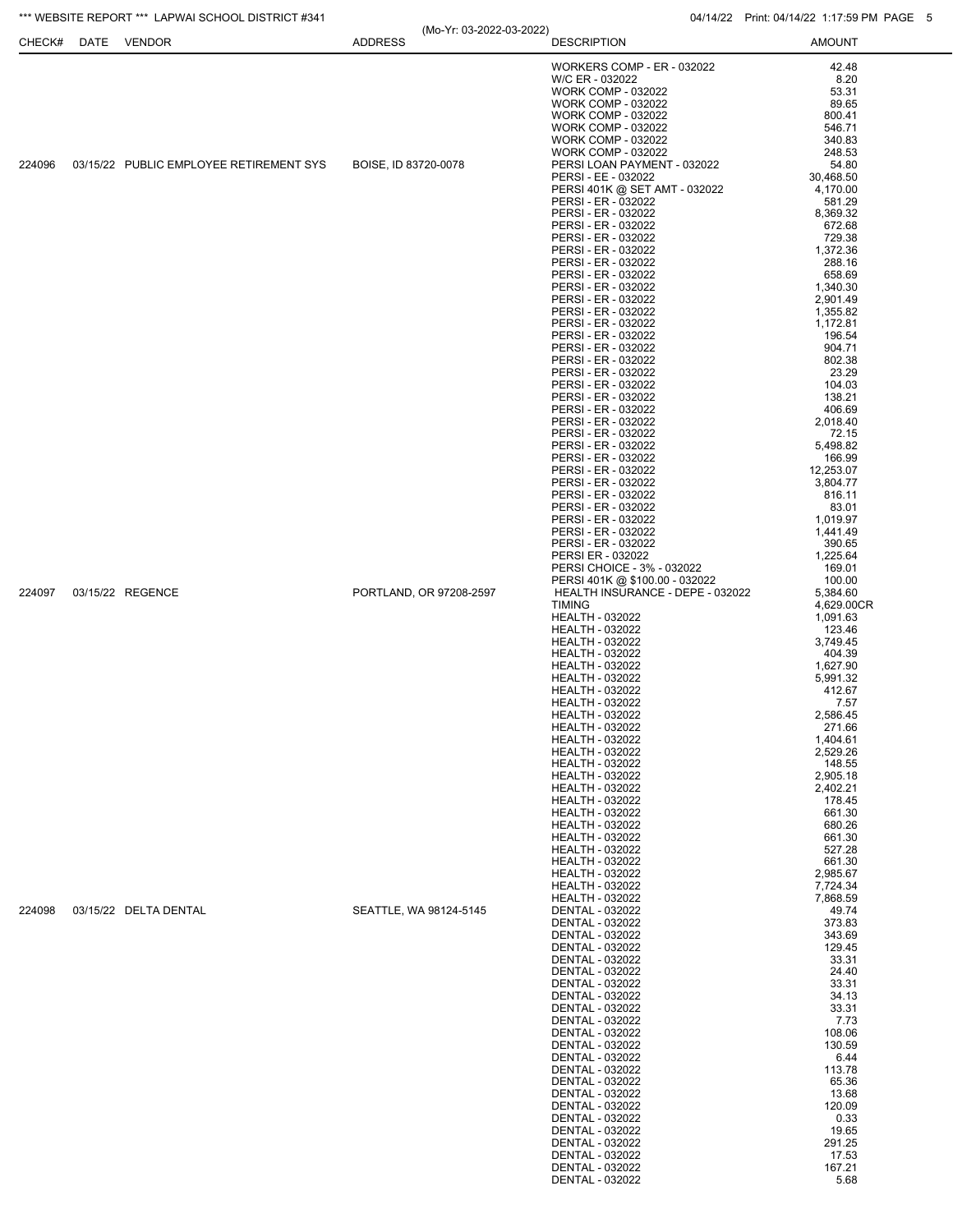## \*\*\* WEBSITE REPORT \*\*\* LAPWAI SCHOOL DISTRICT #341 04/14/22 Print: 04/14/22 1:17:59 PM PAGE 5

| CHECK# | ______________________________<br>DATE VENDOR | (Mo-Yr: 03-2022-03-2022)<br><b>ADDRESS</b> | <b>DESCRIPTION</b>                                                 | 1.111111.077117221111.0011111<br><b>AMOUNT</b> |
|--------|-----------------------------------------------|--------------------------------------------|--------------------------------------------------------------------|------------------------------------------------|
|        |                                               |                                            | WORKERS COMP - ER - 032022                                         | 42.48                                          |
|        |                                               |                                            | W/C ER - 032022                                                    | 8.20                                           |
|        |                                               |                                            | <b>WORK COMP - 032022</b>                                          | 53.31                                          |
|        |                                               |                                            | <b>WORK COMP - 032022</b>                                          | 89.65                                          |
|        |                                               |                                            | <b>WORK COMP - 032022</b>                                          | 800.41                                         |
|        |                                               |                                            | <b>WORK COMP - 032022</b>                                          | 546.71                                         |
|        |                                               |                                            | <b>WORK COMP - 032022</b>                                          | 340.83                                         |
|        |                                               |                                            | <b>WORK COMP - 032022</b>                                          | 248.53                                         |
| 224096 | 03/15/22 PUBLIC EMPLOYEE RETIREMENT SYS       | BOISE, ID 83720-0078                       | PERSI LOAN PAYMENT - 032022                                        | 54.80                                          |
|        |                                               |                                            | PERSI - EE - 032022<br>PERSI 401K @ SET AMT - 032022               | 30,468.50<br>4,170.00                          |
|        |                                               |                                            | PERSI - ER - 032022                                                | 581.29                                         |
|        |                                               |                                            | PERSI - ER - 032022                                                | 8,369.32                                       |
|        |                                               |                                            | PERSI - ER - 032022                                                | 672.68                                         |
|        |                                               |                                            | PERSI - ER - 032022                                                | 729.38                                         |
|        |                                               |                                            | PERSI - ER - 032022                                                | 1,372.36                                       |
|        |                                               |                                            | PERSI - ER - 032022<br>PERSI - ER - 032022                         | 288.16<br>658.69                               |
|        |                                               |                                            | PERSI - ER - 032022                                                | 1,340.30                                       |
|        |                                               |                                            | PERSI - ER - 032022                                                | 2,901.49                                       |
|        |                                               |                                            | PERSI - ER - 032022                                                | 1,355.82                                       |
|        |                                               |                                            | PERSI - ER - 032022                                                | 1,172.81                                       |
|        |                                               |                                            | PERSI - ER - 032022                                                | 196.54                                         |
|        |                                               |                                            | PERSI - ER - 032022                                                | 904.71                                         |
|        |                                               |                                            | PERSI - ER - 032022                                                | 802.38                                         |
|        |                                               |                                            | PERSI - ER - 032022<br>PERSI - ER - 032022                         | 23.29<br>104.03                                |
|        |                                               |                                            | PERSI - ER - 032022                                                | 138.21                                         |
|        |                                               |                                            | PERSI - ER - 032022                                                | 406.69                                         |
|        |                                               |                                            | PERSI - ER - 032022                                                | 2,018.40                                       |
|        |                                               |                                            | PERSI - ER - 032022                                                | 72.15                                          |
|        |                                               |                                            | PERSI - ER - 032022                                                | 5,498.82                                       |
|        |                                               |                                            | PERSI - ER - 032022                                                | 166.99                                         |
|        |                                               |                                            | PERSI - ER - 032022<br>PERSI - ER - 032022                         | 12,253.07<br>3,804.77                          |
|        |                                               |                                            | PERSI - ER - 032022                                                | 816.11                                         |
|        |                                               |                                            | PERSI - ER - 032022                                                | 83.01                                          |
|        |                                               |                                            | PERSI - ER - 032022                                                | 1,019.97                                       |
|        |                                               |                                            | PERSI - ER - 032022                                                | 1,441.49                                       |
|        |                                               |                                            | PERSI - ER - 032022                                                | 390.65                                         |
|        |                                               |                                            | PERSI ER - 032022                                                  | 1,225.64                                       |
|        |                                               |                                            | PERSI CHOICE - 3% - 032022                                         | 169.01                                         |
| 224097 | 03/15/22 REGENCE                              | PORTLAND, OR 97208-2597                    | PERSI 401K @ \$100.00 - 032022<br>HEALTH INSURANCE - DEPE - 032022 | 100.00<br>5,384.60                             |
|        |                                               |                                            | <b>TIMING</b>                                                      | 4,629.00CR                                     |
|        |                                               |                                            | <b>HEALTH - 032022</b>                                             | 1,091.63                                       |
|        |                                               |                                            | <b>HEALTH - 032022</b>                                             | 123.46                                         |
|        |                                               |                                            | <b>HEALTH - 032022</b>                                             | 3,749.45                                       |
|        |                                               |                                            | <b>HEALTH - 032022</b>                                             | 404.39                                         |
|        |                                               |                                            | <b>HEALTH - 032022</b>                                             | 1,627.90                                       |
|        |                                               |                                            | HEALTH - 032022                                                    | 5,991.32<br>412.67                             |
|        |                                               |                                            | <b>HEALTH - 032022</b><br><b>HEALTH - 032022</b>                   | 7.57                                           |
|        |                                               |                                            | HEALTH - 032022                                                    | 2,586.45                                       |
|        |                                               |                                            | <b>HEALTH - 032022</b>                                             | 271.66                                         |
|        |                                               |                                            | <b>HEALTH - 032022</b>                                             | 1,404.61                                       |
|        |                                               |                                            | <b>HEALTH - 032022</b>                                             | 2,529.26                                       |
|        |                                               |                                            | <b>HEALTH - 032022</b>                                             | 148.55                                         |
|        |                                               |                                            | <b>HEALTH - 032022</b>                                             | 2,905.18                                       |
|        |                                               |                                            | <b>HEALTH - 032022</b><br><b>HEALTH - 032022</b>                   | 2,402.21<br>178.45                             |
|        |                                               |                                            | HEALTH - 032022                                                    | 661.30                                         |
|        |                                               |                                            | <b>HEALTH - 032022</b>                                             | 680.26                                         |
|        |                                               |                                            | HEALTH - 032022                                                    | 661.30                                         |
|        |                                               |                                            | <b>HEALTH - 032022</b>                                             | 527.28                                         |
|        |                                               |                                            | <b>HEALTH - 032022</b>                                             | 661.30                                         |
|        |                                               |                                            | HEALTH - 032022                                                    | 2,985.67                                       |
|        |                                               |                                            | <b>HEALTH - 032022</b>                                             | 7,724.34                                       |
| 224098 | 03/15/22 DELTA DENTAL                         | SEATTLE, WA 98124-5145                     | <b>HEALTH - 032022</b><br><b>DENTAL - 032022</b>                   | 7,868.59<br>49.74                              |
|        |                                               |                                            | DENTAL - 032022                                                    | 373.83                                         |
|        |                                               |                                            | DENTAL - 032022                                                    | 343.69                                         |
|        |                                               |                                            | DENTAL - 032022                                                    | 129.45                                         |
|        |                                               |                                            | <b>DENTAL - 032022</b>                                             | 33.31                                          |
|        |                                               |                                            | DENTAL - 032022                                                    | 24.40                                          |
|        |                                               |                                            | DENTAL - 032022                                                    | 33.31                                          |
|        |                                               |                                            | <b>DENTAL - 032022</b>                                             | 34.13                                          |
|        |                                               |                                            | <b>DENTAL - 032022</b><br>DENTAL - 032022                          | 33.31<br>7.73                                  |
|        |                                               |                                            | DENTAL - 032022                                                    | 108.06                                         |
|        |                                               |                                            | DENTAL - 032022                                                    | 130.59                                         |
|        |                                               |                                            | DENTAL - 032022                                                    | 6.44                                           |
|        |                                               |                                            | DENTAL - 032022                                                    | 113.78                                         |
|        |                                               |                                            | DENTAL - 032022                                                    | 65.36                                          |
|        |                                               |                                            | DENTAL - 032022                                                    | 13.68                                          |
|        |                                               |                                            | DENTAL - 032022                                                    | 120.09                                         |
|        |                                               |                                            | <b>DENTAL - 032022</b><br>DENTAL - 032022                          | 0.33<br>19.65                                  |
|        |                                               |                                            | DENTAL - 032022                                                    | 291.25                                         |
|        |                                               |                                            | <b>DENTAL - 032022</b>                                             | 17.53                                          |
|        |                                               |                                            | DENTAL - 032022                                                    | 167.21                                         |
|        |                                               |                                            | DENTAL - 032022                                                    | 5.68                                           |
|        |                                               |                                            |                                                                    |                                                |